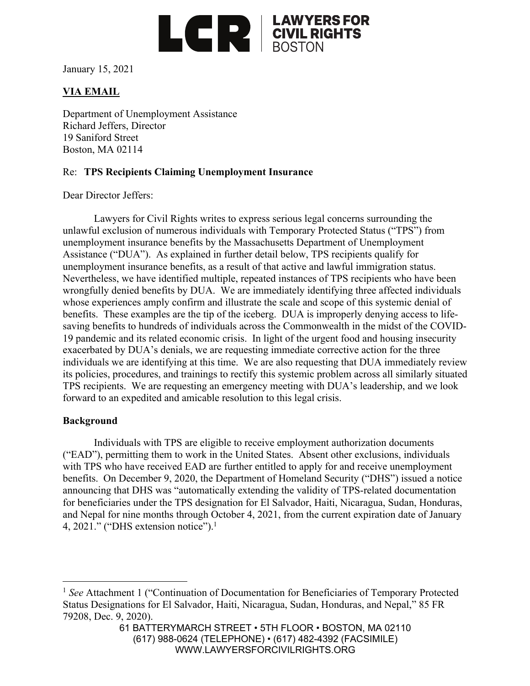

January 15, 2021

# **VIA EMAIL**

Department of Unemployment Assistance Richard Jeffers, Director 19 Saniford Street Boston, MA 02114

### Re: **TPS Recipients Claiming Unemployment Insurance**

Dear Director Jeffers:

Lawyers for Civil Rights writes to express serious legal concerns surrounding the unlawful exclusion of numerous individuals with Temporary Protected Status ("TPS") from unemployment insurance benefits by the Massachusetts Department of Unemployment Assistance ("DUA"). As explained in further detail below, TPS recipients qualify for unemployment insurance benefits, as a result of that active and lawful immigration status. Nevertheless, we have identified multiple, repeated instances of TPS recipients who have been wrongfully denied benefits by DUA. We are immediately identifying three affected individuals whose experiences amply confirm and illustrate the scale and scope of this systemic denial of benefits. These examples are the tip of the iceberg. DUA is improperly denying access to lifesaving benefits to hundreds of individuals across the Commonwealth in the midst of the COVID-19 pandemic and its related economic crisis. In light of the urgent food and housing insecurity exacerbated by DUA's denials, we are requesting immediate corrective action for the three individuals we are identifying at this time. We are also requesting that DUA immediately review its policies, procedures, and trainings to rectify this systemic problem across all similarly situated TPS recipients. We are requesting an emergency meeting with DUA's leadership, and we look forward to an expedited and amicable resolution to this legal crisis.

#### **Background**

Individuals with TPS are eligible to receive employment authorization documents ("EAD"), permitting them to work in the United States. Absent other exclusions, individuals with TPS who have received EAD are further entitled to apply for and receive unemployment benefits. On December 9, 2020, the Department of Homeland Security ("DHS") issued a notice announcing that DHS was "automatically extending the validity of TPS-related documentation for beneficiaries under the TPS designation for El Salvador, Haiti, Nicaragua, Sudan, Honduras, and Nepal for nine months through October 4, 2021, from the current expiration date of January 4, 2021." ("DHS extension notice"). $<sup>1</sup>$ </sup>

<sup>&</sup>lt;sup>1</sup> See Attachment 1 ("Continuation of Documentation for Beneficiaries of Temporary Protected Status Designations for El Salvador, Haiti, Nicaragua, Sudan, Honduras, and Nepal," 85 FR 79208, Dec. 9, 2020).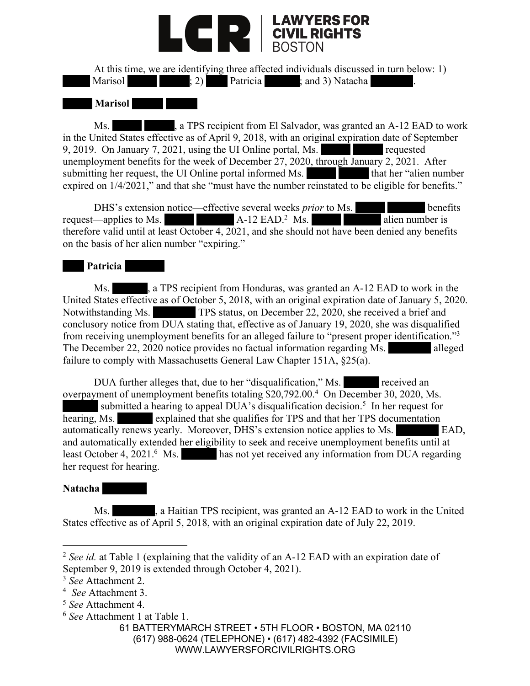

At this time, we are identifying three affected individuals discussed in turn below: 1) Marisol : 2) Patricia ; and 3) Natacha

# **Marisol**

Ms. A TPS recipient from El Salvador, was granted an A-12 EAD to work in the United States effective as of April 9, 2018, with an original expiration date of September 9, 2019. On January 7, 2021, using the UI Online portal, Ms. unemployment benefits for the week of December 27, 2020, through January 2, 2021. After submitting her request, the UI Online portal informed Ms. that her "alien number" expired on  $1/4/2021$ ," and that she "must have the number reinstated to be eligible for benefits."

DHS's extension notice—effective several weeks *prior* to Ms. **benefits** request—applies to Ms. A-12 EAD.<sup>2</sup> Ms. alien number is therefore valid until at least October 4, 2021, and she should not have been denied any benefits on the basis of her alien number "expiring."

## **Patricia**

Ms.  $\blacksquare$ , a TPS recipient from Honduras, was granted an A-12 EAD to work in the United States effective as of October 5, 2018, with an original expiration date of January 5, 2020. Notwithstanding Ms. TPS status, on December 22, 2020, she received a brief and conclusory notice from DUA stating that, effective as of January 19, 2020, she was disqualified from receiving unemployment benefits for an alleged failure to "present proper identification."3 The December 22, 2020 notice provides no factual information regarding Ms. alleged failure to comply with Massachusetts General Law Chapter 151A, §25(a).

DUA further alleges that, due to her "disqualification," Ms. received an overpayment of unemployment benefits totaling \$20,792.00.<sup>4</sup> On December 30, 2020, Ms. submitted a hearing to appeal DUA's disqualification decision.<sup>5</sup> In her request for hearing, Ms. explained that she qualifies for TPS and that her TPS documentation automatically renews yearly. Moreover, DHS's extension notice applies to Ms. EAD, and automatically extended her eligibility to seek and receive unemployment benefits until at least October 4, 2021.<sup>6</sup> Ms. has not yet received any information from DUA regarding her request for hearing.

## **Natacha**

Ms.  $\blacksquare$ , a Haitian TPS recipient, was granted an A-12 EAD to work in the United States effective as of April 5, 2018, with an original expiration date of July 22, 2019.

<sup>6</sup> *See* Attachment 1 at Table 1.

<sup>&</sup>lt;sup>2</sup> See id. at Table 1 (explaining that the validity of an A-12 EAD with an expiration date of September 9, 2019 is extended through October 4, 2021).

<sup>3</sup> *See* Attachment 2.

<sup>4</sup> *See* Attachment 3.

<sup>5</sup> *See* Attachment 4.

<sup>61</sup> BATTERYMARCH STREET • 5TH FLOOR • BOSTON, MA 02110 (617) 988-0624 (TELEPHONE) • (617) 482-4392 (FACSIMILE) WWW.LAWYERSFORCIVILRIGHTS.ORG